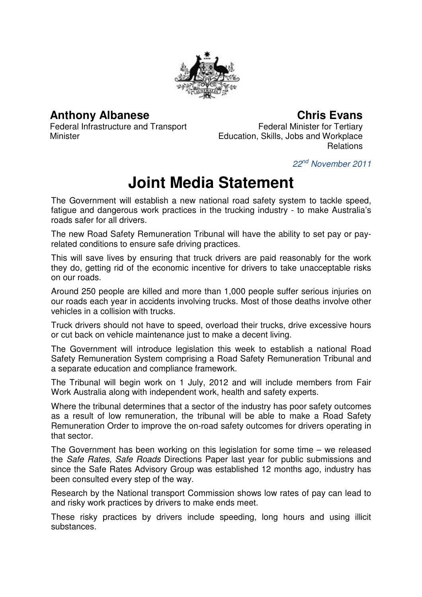

## **Anthony Albanese**

**Chris Evans**

Federal Infrastructure and Transport Minister

Federal Minister for Tertiary Education, Skills, Jobs and Workplace Relations

22nd November 2011

## **Joint Media Statement**

The Government will establish a new national road safety system to tackle speed, fatigue and dangerous work practices in the trucking industry - to make Australia's roads safer for all drivers.

The new Road Safety Remuneration Tribunal will have the ability to set pay or payrelated conditions to ensure safe driving practices.

This will save lives by ensuring that truck drivers are paid reasonably for the work they do, getting rid of the economic incentive for drivers to take unacceptable risks on our roads.

Around 250 people are killed and more than 1,000 people suffer serious injuries on our roads each year in accidents involving trucks. Most of those deaths involve other vehicles in a collision with trucks.

Truck drivers should not have to speed, overload their trucks, drive excessive hours or cut back on vehicle maintenance just to make a decent living.

The Government will introduce legislation this week to establish a national Road Safety Remuneration System comprising a Road Safety Remuneration Tribunal and a separate education and compliance framework.

The Tribunal will begin work on 1 July, 2012 and will include members from Fair Work Australia along with independent work, health and safety experts.

Where the tribunal determines that a sector of the industry has poor safety outcomes as a result of low remuneration, the tribunal will be able to make a Road Safety Remuneration Order to improve the on-road safety outcomes for drivers operating in that sector.

The Government has been working on this legislation for some time – we released the Safe Rates, Safe Roads Directions Paper last year for public submissions and since the Safe Rates Advisory Group was established 12 months ago, industry has been consulted every step of the way.

Research by the National transport Commission shows low rates of pay can lead to and risky work practices by drivers to make ends meet.

These risky practices by drivers include speeding, long hours and using illicit substances.